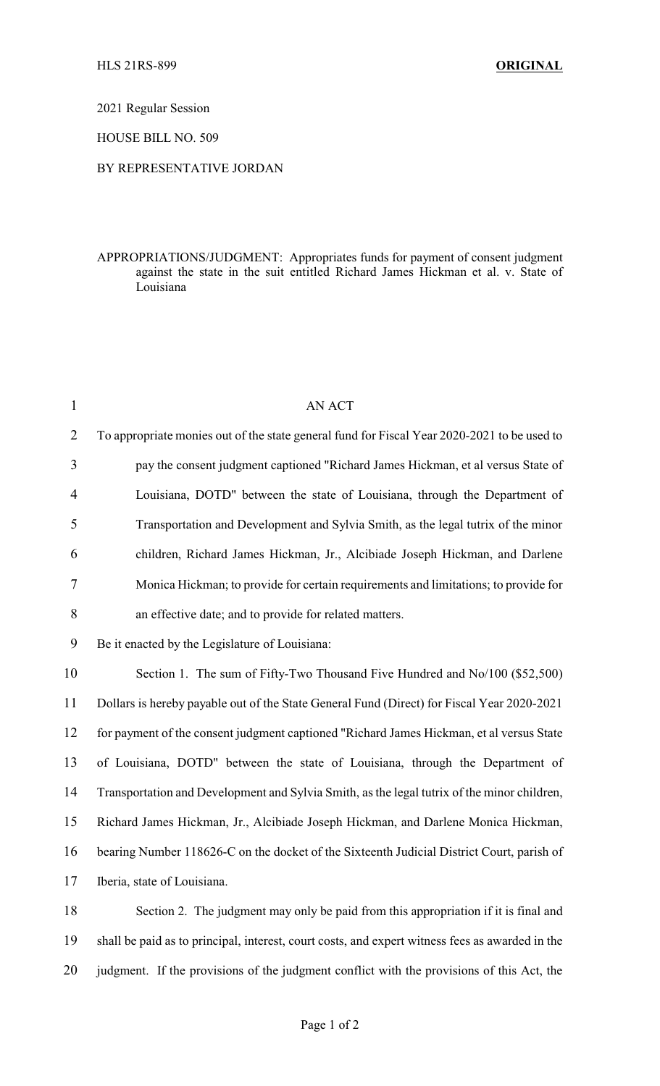2021 Regular Session

HOUSE BILL NO. 509

## BY REPRESENTATIVE JORDAN

## APPROPRIATIONS/JUDGMENT: Appropriates funds for payment of consent judgment against the state in the suit entitled Richard James Hickman et al. v. State of Louisiana

| $\mathbf{1}$   | <b>AN ACT</b>                                                                                   |
|----------------|-------------------------------------------------------------------------------------------------|
| $\overline{2}$ | To appropriate monies out of the state general fund for Fiscal Year 2020-2021 to be used to     |
| 3              | pay the consent judgment captioned "Richard James Hickman, et al versus State of                |
| 4              | Louisiana, DOTD" between the state of Louisiana, through the Department of                      |
| 5              | Transportation and Development and Sylvia Smith, as the legal tutrix of the minor               |
| 6              | children, Richard James Hickman, Jr., Alcibiade Joseph Hickman, and Darlene                     |
| 7              | Monica Hickman; to provide for certain requirements and limitations; to provide for             |
| 8              | an effective date; and to provide for related matters.                                          |
| 9              | Be it enacted by the Legislature of Louisiana:                                                  |
| 10             | Section 1. The sum of Fifty-Two Thousand Five Hundred and No/100 (\$52,500)                     |
| 11             | Dollars is hereby payable out of the State General Fund (Direct) for Fiscal Year 2020-2021      |
| 12             | for payment of the consent judgment captioned "Richard James Hickman, et al versus State        |
| 13             | of Louisiana, DOTD" between the state of Louisiana, through the Department of                   |
| 14             | Transportation and Development and Sylvia Smith, as the legal tutrix of the minor children,     |
| 15             | Richard James Hickman, Jr., Alcibiade Joseph Hickman, and Darlene Monica Hickman,               |
| 16             | bearing Number 118626-C on the docket of the Sixteenth Judicial District Court, parish of       |
| 17             | Iberia, state of Louisiana.                                                                     |
| 18             | Section 2. The judgment may only be paid from this appropriation if it is final and             |
| 19             | shall be paid as to principal, interest, court costs, and expert witness fees as awarded in the |
| 20             | judgment. If the provisions of the judgment conflict with the provisions of this Act, the       |